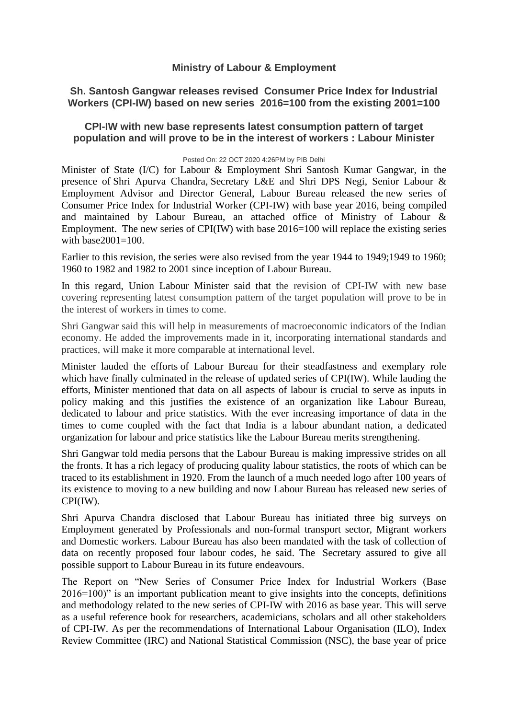## **Ministry of Labour & Employment**

## **Sh. Santosh Gangwar releases revised Consumer Price Index for Industrial Workers (CPI-IW) based on new series 2016=100 from the existing 2001=100**

## **CPI-IW with new base represents latest consumption pattern of target population and will prove to be in the interest of workers : Labour Minister**

## Posted On: 22 OCT 2020 4:26PM by PIB Delhi

Minister of State (I/C) for Labour & Employment Shri Santosh Kumar Gangwar, in the presence of Shri Apurva Chandra, Secretary L&E and Shri DPS Negi, Senior Labour & Employment Advisor and Director General, Labour Bureau released the new series of Consumer Price Index for Industrial Worker (CPI-IW) with base year 2016, being compiled and maintained by Labour Bureau, an attached office of Ministry of Labour & Employment. The new series of  $CPI(IW)$  with base 2016=100 will replace the existing series with base  $2001 = 100$ .

Earlier to this revision, the series were also revised from the year 1944 to 1949;1949 to 1960; 1960 to 1982 and 1982 to 2001 since inception of Labour Bureau.

In this regard, Union Labour Minister said that the revision of CPI-IW with new base covering representing latest consumption pattern of the target population will prove to be in the interest of workers in times to come.

Shri Gangwar said this will help in measurements of macroeconomic indicators of the Indian economy. He added the improvements made in it, incorporating international standards and practices, will make it more comparable at international level.

Minister lauded the efforts of Labour Bureau for their steadfastness and exemplary role which have finally culminated in the release of updated series of CPI(IW). While lauding the efforts, Minister mentioned that data on all aspects of labour is crucial to serve as inputs in policy making and this justifies the existence of an organization like Labour Bureau, dedicated to labour and price statistics. With the ever increasing importance of data in the times to come coupled with the fact that India is a labour abundant nation, a dedicated organization for labour and price statistics like the Labour Bureau merits strengthening.

Shri Gangwar told media persons that the Labour Bureau is making impressive strides on all the fronts. It has a rich legacy of producing quality labour statistics, the roots of which can be traced to its establishment in 1920. From the launch of a much needed logo after 100 years of its existence to moving to a new building and now Labour Bureau has released new series of CPI(IW).

Shri Apurva Chandra disclosed that Labour Bureau has initiated three big surveys on Employment generated by Professionals and non-formal transport sector, Migrant workers and Domestic workers. Labour Bureau has also been mandated with the task of collection of data on recently proposed four labour codes, he said. The Secretary assured to give all possible support to Labour Bureau in its future endeavours.

The Report on "New Series of Consumer Price Index for Industrial Workers (Base 2016=100)" is an important publication meant to give insights into the concepts, definitions and methodology related to the new series of CPI-IW with 2016 as base year. This will serve as a useful reference book for researchers, academicians, scholars and all other stakeholders of CPI-IW. As per the recommendations of International Labour Organisation (ILO), Index Review Committee (IRC) and National Statistical Commission (NSC), the base year of price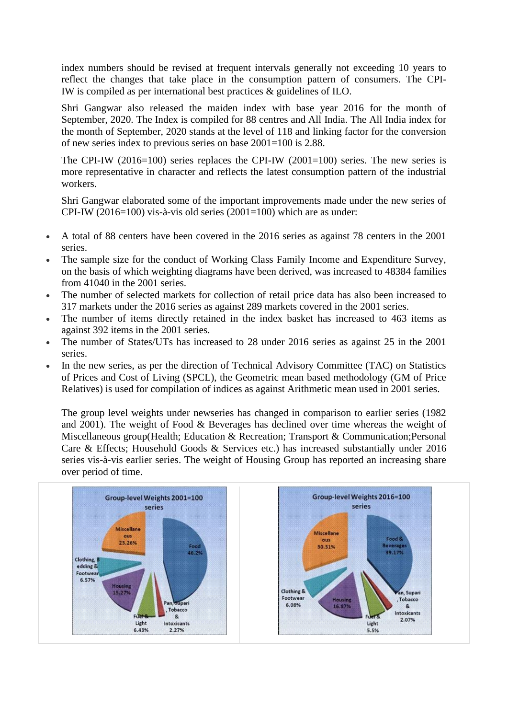index numbers should be revised at frequent intervals generally not exceeding 10 years to reflect the changes that take place in the consumption pattern of consumers. The CPI-IW is compiled as per international best practices & guidelines of ILO.

Shri Gangwar also released the maiden index with base year 2016 for the month of September, 2020. The Index is compiled for 88 centres and All India. The All India index for the month of September, 2020 stands at the level of 118 and linking factor for the conversion of new series index to previous series on base 2001=100 is 2.88.

The CPI-IW  $(2016=100)$  series replaces the CPI-IW  $(2001=100)$  series. The new series is more representative in character and reflects the latest consumption pattern of the industrial workers.

Shri Gangwar elaborated some of the important improvements made under the new series of CPI-IW (2016=100) vis-à-vis old series (2001=100) which are as under:

- A total of 88 centers have been covered in the 2016 series as against 78 centers in the 2001 series.
- The sample size for the conduct of Working Class Family Income and Expenditure Survey, on the basis of which weighting diagrams have been derived, was increased to 48384 families from 41040 in the 2001 series.
- The number of selected markets for collection of retail price data has also been increased to 317 markets under the 2016 series as against 289 markets covered in the 2001 series.
- The number of items directly retained in the index basket has increased to 463 items as against 392 items in the 2001 series.
- The number of States/UTs has increased to 28 under 2016 series as against 25 in the 2001 series.
- In the new series, as per the direction of Technical Advisory Committee (TAC) on Statistics of Prices and Cost of Living (SPCL), the Geometric mean based methodology (GM of Price Relatives) is used for compilation of indices as against Arithmetic mean used in 2001 series.

The group level weights under newseries has changed in comparison to earlier series (1982 and 2001). The weight of Food & Beverages has declined over time whereas the weight of Miscellaneous group(Health; Education & Recreation; Transport & Communication;Personal Care & Effects; Household Goods & Services etc.) has increased substantially under 2016 series vis-à-vis earlier series. The weight of Housing Group has reported an increasing share over period of time.

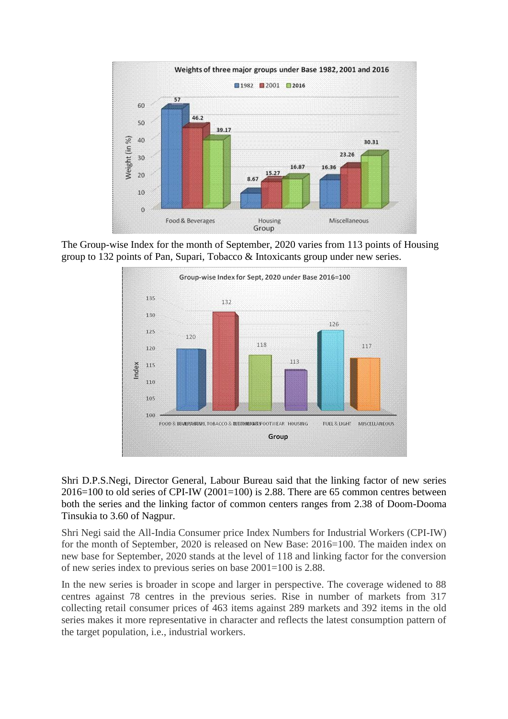

The Group-wise Index for the month of September, 2020 varies from 113 points of Housing group to 132 points of Pan, Supari, Tobacco & Intoxicants group under new series.



Shri D.P.S.Negi, Director General, Labour Bureau said that the linking factor of new series  $2016=100$  to old series of CPI-IW (2001=100) is 2.88. There are 65 common centres between both the series and the linking factor of common centers ranges from 2.38 of Doom-Dooma Tinsukia to 3.60 of Nagpur.

Shri Negi said the All-India Consumer price Index Numbers for Industrial Workers (CPI-IW) for the month of September, 2020 is released on New Base: 2016=100. The maiden index on new base for September, 2020 stands at the level of 118 and linking factor for the conversion of new series index to previous series on base 2001=100 is 2.88.

In the new series is broader in scope and larger in perspective. The coverage widened to 88 centres against 78 centres in the previous series. Rise in number of markets from 317 collecting retail consumer prices of 463 items against 289 markets and 392 items in the old series makes it more representative in character and reflects the latest consumption pattern of the target population, i.e., industrial workers.